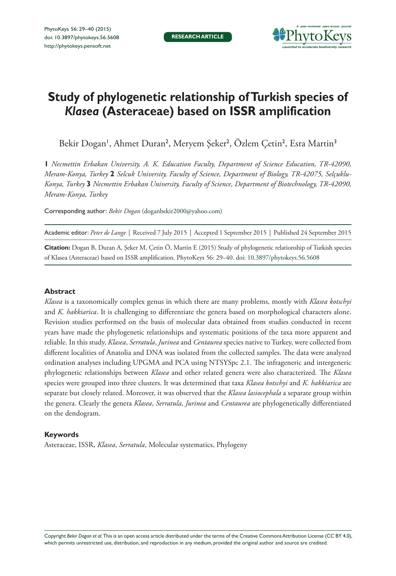

# **Study of phylogenetic relationship of Turkish species of**  *Klasea* **(Asteraceae) based on ISSR amplification**

Bekir Dogan', Ahmet Duran<sup>2</sup>, Meryem Şeker<sup>2</sup>, Özlem Çetin<sup>2</sup>, Esra Martin<sup>3</sup>

**1** *Necmettin Erbakan University, A. K. Education Faculty, Department of Science Education, TR-42090, Meram-Konya, Turkey* **2** *Selcuk University, Faculty of Science, Department of Biology, TR-42075, Selçuklu-Konya, Turkey* **3** *Necmettin Erbakan University, Faculty of Science, Department of Biotechnology, TR-42090, Meram-Konya, Turkey*

Corresponding author: *Bekir Dogan* [\(doganbekir2000@yahoo.com](mailto:doganbekir2000@yahoo.com))

Academic editor: *Peter de Lange* | Received 7 July 2015 | Accepted 1 September 2015 | Published 24 September 2015

**Citation:** Dogan B, Duran A, Şeker M, Çetin Ö, Martin E (2015) Study of phylogenetic relationship of Turkish species of Klasea (Asteraceae) based on ISSR amplification. PhytoKeys 56: 29–40. [doi: 10.3897/phytokeys.56.5608](http://dx.doi.org/10.3897/phytokeys.56.5608)

## **Abstract**

*Klasea* is a taxonomically complex genus in which there are many problems, mostly with *Klasea kotschyi* and *K. hakkiarica*. It is challenging to differentiate the genera based on morphological characters alone. Revision studies performed on the basis of molecular data obtained from studies conducted in recent years have made the phylogenetic relationships and systematic positions of the taxa more apparent and reliable. In this study, *Klasea*, *Serratula*, *Jurinea* and *Centaurea* species native to Turkey, were collected from different localities of Anatolia and DNA was isolated from the collected samples. The data were analyzed ordination analyses including UPGMA and PCA using NTSYSpc 2.1. The infrageneric and intergeneric phylogenetic relationships between *Klasea* and other related genera were also characterized. The *Klasea* species were grouped into three clusters. It was determined that taxa *Klasea kotschyi* and *K. hakkiarica* are separate but closely related. Moreover, it was observed that the *Klasea lasiocephala* a separate group within the genera. Clearly the genera *Klasea*, *Serratula*, *Jurinea* and *Centaurea* are phylogenetically differentiated on the dendogram.

## **Keywords**

Asteraceae, ISSR, *Klasea*, *Serratula*, Molecular systematics, Phylogeny

Copyright *Bekir Dogan et al.* This is an open access article distributed under the terms of the [Creative Commons Attribution License \(CC BY 4.0\),](http://creativecommons.org/licenses/by/4.0/) which permits unrestricted use, distribution, and reproduction in any medium, provided the original author and source are credited.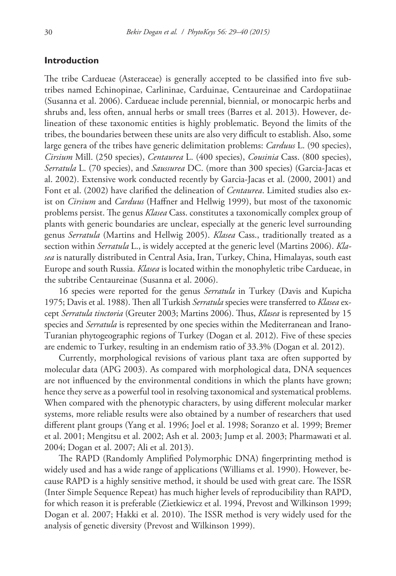# **Introduction**

The tribe Cardueae (Asteraceae) is generally accepted to be classified into five subtribes named Echinopinae, Carlininae, Carduinae, Centaureinae and Cardopatiinae (Susanna et al. 2006). Cardueae include perennial, biennial, or monocarpic herbs and shrubs and, less often, annual herbs or small trees (Barres et al. 2013). However, delineation of these taxonomic entities is highly problematic. Beyond the limits of the tribes, the boundaries between these units are also very difficult to establish. Also, some large genera of the tribes have generic delimitation problems: *Carduus* L. (90 species), *Cirsium* Mill. (250 species), *Centaurea* L. (400 species), *Cousinia* Cass. (800 species), *Serratula* L. (70 species), and *Saussurea* DC. (more than 300 species) (Garcia-Jacas et al. 2002). Extensive work conducted recently by Garcia-Jacas et al. (2000, 2001) and Font et al. (2002) have clarified the delineation of *Centaurea*. Limited studies also exist on *Cirsium* and *Carduus* (Haffner and Hellwig 1999), but most of the taxonomic problems persist. The genus *Klasea* Cass. constitutes a taxonomically complex group of plants with generic boundaries are unclear, especially at the generic level surrounding genus *Serratula* (Martins and Hellwig 2005). *Klasea* Cass., traditionally treated as a section within *Serratula* L., is widely accepted at the generic level (Martins 2006). *Klasea* is naturally distributed in Central Asia, Iran, Turkey, China, Himalayas, south east Europe and south Russia. *Klasea* is located within the monophyletic tribe Cardueae, in the subtribe Centaureinae (Susanna et al. 2006).

16 species were reported for the genus *Serratula* in Turkey (Davis and Kupicha 1975; Davis et al. 1988). Then all Turkish *Serratula* species were transferred to *Klasea* except *Serratula tinctoria* (Greuter 2003; Martins 2006). Thus, *Klasea* is represented by 15 species and *Serratula* is represented by one species within the Mediterranean and Irano-Turanian phytogeographic regions of Turkey (Dogan et al. 2012). Five of these species are endemic to Turkey, resulting in an endemism ratio of 33.3% (Dogan et al. 2012).

Currently, morphological revisions of various plant taxa are often supported by molecular data (APG 2003). As compared with morphological data, DNA sequences are not influenced by the environmental conditions in which the plants have grown; hence they serve as a powerful tool in resolving taxonomical and systematical problems. When compared with the phenotypic characters, by using different molecular marker systems, more reliable results were also obtained by a number of researchers that used different plant groups (Yang et al. 1996; Joel et al. 1998; Soranzo et al. 1999; Bremer et al. 2001; Mengitsu et al. 2002; Ash et al. 2003; Jump et al. 2003; Pharmawati et al. 2004; Dogan et al. 2007; Ali et al. 2013).

The RAPD (Randomly Amplified Polymorphic DNA) fingerprinting method is widely used and has a wide range of applications (Williams et al. 1990). However, because RAPD is a highly sensitive method, it should be used with great care. The ISSR (Inter Simple Sequence Repeat) has much higher levels of reproducibility than RAPD, for which reason it is preferable (Zietkiewicz et al. 1994, Prevost and Wilkinson 1999; Dogan et al. 2007; Hakki et al. 2010). The ISSR method is very widely used for the analysis of genetic diversity (Prevost and Wilkinson 1999).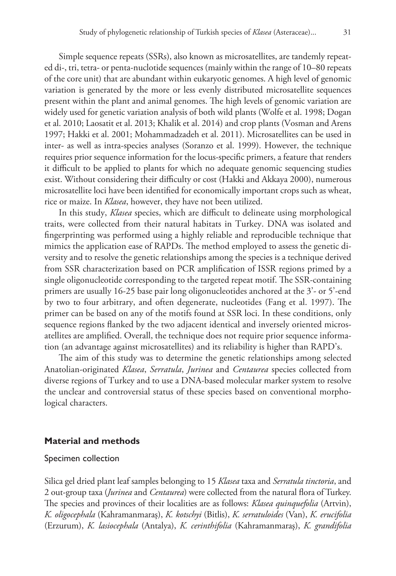Simple sequence repeats (SSRs), also known as microsatellites, are tandemly repeated di-, tri, tetra- or penta-nuclotide sequences (mainly within the range of 10–80 repeats of the core unit) that are abundant within eukaryotic genomes. A high level of genomic variation is generated by the more or less evenly distributed microsatellite sequences present within the plant and animal genomes. The high levels of genomic variation are widely used for genetic variation analysis of both wild plants (Wolfe et al. 1998; Dogan et al. 2010; Laosatit et al. 2013; Khalik et al. 2014) and crop plants (Vosman and Arens 1997; Hakki et al. 2001; Mohammadzadeh et al. 2011). Microsatellites can be used in inter- as well as intra-species analyses (Soranzo et al. 1999). However, the technique requires prior sequence information for the locus-specific primers, a feature that renders it difficult to be applied to plants for which no adequate genomic sequencing studies exist. Without considering their difficulty or cost (Hakki and Akkaya 2000), numerous microsatellite loci have been identified for economically important crops such as wheat, rice or maize. In *Klasea*, however, they have not been utilized.

In this study, *Klasea* species, which are difficult to delineate using morphological traits, were collected from their natural habitats in Turkey. DNA was isolated and fingerprinting was performed using a highly reliable and reproducible technique that mimics the application ease of RAPDs. The method employed to assess the genetic diversity and to resolve the genetic relationships among the species is a technique derived from SSR characterization based on PCR amplification of ISSR regions primed by a single oligonucleotide corresponding to the targeted repeat motif. The SSR-containing primers are usually 16-25 base pair long oligonucleotides anchored at the 3'- or 5'-end by two to four arbitrary, and often degenerate, nucleotides (Fang et al. 1997). The primer can be based on any of the motifs found at SSR loci. In these conditions, only sequence regions flanked by the two adjacent identical and inversely oriented microsatellites are amplified. Overall, the technique does not require prior sequence information (an advantage against microsatellites) and its reliability is higher than RAPD's.

The aim of this study was to determine the genetic relationships among selected Anatolian-originated *Klasea*, *Serratula*, *Jurinea* and *Centaurea* species collected from diverse regions of Turkey and to use a DNA-based molecular marker system to resolve the unclear and controversial status of these species based on conventional morphological characters.

## **Material and methods**

#### Specimen collection

Silica gel dried plant leaf samples belonging to 15 *Klasea* taxa and *Serratula tinctoria*, and 2 out-group taxa (*Jurinea* and *Centaurea*) were collected from the natural flora of Turkey. The species and provinces of their localities are as follows: *Klasea quinquefolia* (Artvin), *K. oligocephala* (Kahramanmaraş), *K. kotschyi* (Bitlis), *K. serratuloides* (Van), *K. erucifolia* (Erzurum), *K. lasiocephala* (Antalya), *K. cerinthifolia* (Kahramanmaraş), *K. grandifolia*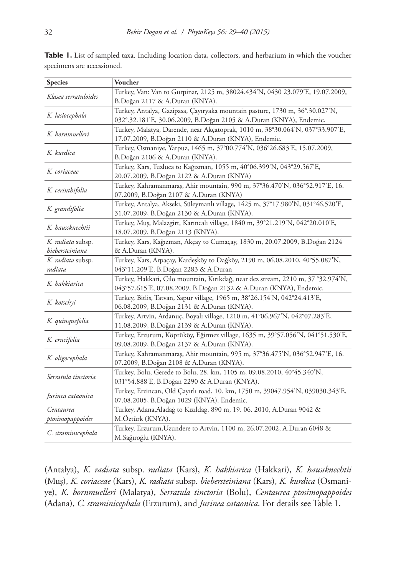| <b>Species</b>                                  | Voucher                                                                          |  |  |  |  |
|-------------------------------------------------|----------------------------------------------------------------------------------|--|--|--|--|
|                                                 | Turkey, Van: Van to Gurpinar, 2125 m, 38024.434'N, 0430 23.079'E, 19.07.2009,    |  |  |  |  |
| Klasea serratuloides                            | B.Doğan 2117 & A.Duran (KNYA).                                                   |  |  |  |  |
|                                                 | Turkey, Antalya, Gazipasa, Çayıryaka mountain pasture, 1730 m, 36°.30.027'N,     |  |  |  |  |
| K. lasiocephala                                 | 032°.32.181'E, 30.06.2009, B.Doğan 2105 & A.Duran (KNYA), Endemic.               |  |  |  |  |
|                                                 | Turkey, Malatya, Darende, near Akçatoprak, 1010 m, 38°30.064'N, 037°33.907'E,    |  |  |  |  |
| K. bornmuelleri                                 | 17.07.2009, B.Doğan 2110 & A.Duran (KNYA), Endemic.                              |  |  |  |  |
| K. kurdica                                      | Turkey, Osmaniye, Yarpuz, 1465 m, 37°00.774'N, 036°26.683'E, 15.07.2009,         |  |  |  |  |
|                                                 | B.Doğan 2106 & A.Duran (KNYA).                                                   |  |  |  |  |
| K. coriaceae                                    | Turkey, Kars, Tuzluca to Kağızman, 1055 m, 40°06.399'N, 043°29.567'E,            |  |  |  |  |
|                                                 | 20.07.2009, B.Doğan 2122 & A.Duran (KNYA)                                        |  |  |  |  |
| K. cerinthifolia                                | Turkey, Kahramanmaraş, Ahir mountain, 990 m, 37°36.470'N, 036°52.917'E, 16.      |  |  |  |  |
|                                                 | 07.2009, B.Doğan 2107 & A.Duran (KNYA)                                           |  |  |  |  |
| K. grandifolia                                  | Turkey, Antalya, Akseki, Süleymanlı village, 1425 m, 37°17.980'N, 031°46.520'E,  |  |  |  |  |
|                                                 | 31.07.2009, B.Doğan 2130 & A.Duran (KNYA).                                       |  |  |  |  |
| K. haussknechtii                                | Turkey, Muş, Malazgirt, Karıncalı village, 1840 m, 39°21.219'N, 042°20.010'E,    |  |  |  |  |
|                                                 | 18.07.2009, B.Doğan 2113 (KNYA).                                                 |  |  |  |  |
| K. radiata subsp.                               | Turkey, Kars, Kağızman, Akçay to Cumaçay, 1830 m, 20.07.2009, B.Doğan 2124       |  |  |  |  |
| & A.Duran (KNYA).<br>biebersteiniana            |                                                                                  |  |  |  |  |
| K. radiata subsp.                               | Turkey, Kars, Arpaçay, Kardeşköy to Dağköy, 2190 m, 06.08.2010, 40°55.087'N,     |  |  |  |  |
| 043°11.209'E, B.Doğan 2283 & A.Duran<br>radiata |                                                                                  |  |  |  |  |
| K. hakkiarica                                   | Turkey, Hakkari, Cilo mountain, Kırıkdağ, near dez stream, 2210 m, 37 °32.974'N, |  |  |  |  |
|                                                 | 043°57.615'E, 07.08.2009, B.Doğan 2132 & A.Duran (KNYA), Endemic.                |  |  |  |  |
| K. kotschyi                                     | Turkey, Bitlis, Tatvan, Sapur village, 1965 m, 38°26.154'N, 042°24.413'E,        |  |  |  |  |
|                                                 | 06.08.2009, B.Doğan 2131 & A.Duran (KNYA).                                       |  |  |  |  |
| K. quinquefolia                                 | Turkey, Artvin, Ardanuç, Boyalı village, 1210 m, 41°06.967'N, 042°07.283'E,      |  |  |  |  |
|                                                 | 11.08.2009, B.Doğan 2139 & A.Duran (KNYA).                                       |  |  |  |  |
| K. erucifolia                                   | Turkey, Erzurum, Köprüköy, Eğirmez village, 1635 m, 39°57.056'N, 041°51.530'E,   |  |  |  |  |
|                                                 | 09.08.2009, B.Doğan 2137 & A.Duran (KNYA).                                       |  |  |  |  |
| K. oligocephala                                 | Turkey, Kahramanmaraş, Ahir mountain, 995 m, 37°36.475'N, 036°52.947'E, 16.      |  |  |  |  |
|                                                 | 07.2009, B.Doğan 2108 & A.Duran (KNYA).                                          |  |  |  |  |
| Serratula tinctoria                             | Turkey, Bolu, Gerede to Bolu, 28. km, 1105 m, 09.08.2010, 40°45.340'N,           |  |  |  |  |
|                                                 | 031°54.888'E, B.Doğan 2290 & A.Duran (KNYA).                                     |  |  |  |  |
| Jurinea cataonica                               | Turkey, Erzincan, Old Çayırlı road, 10. km, 1750 m, 39047.954'N, 039030.343'E,   |  |  |  |  |
|                                                 | 07.08.2005, B.Doğan 1029 (KNYA). Endemic.                                        |  |  |  |  |
| Centaurea                                       | Turkey, Adana, Aladağ to Kızıldag, 890 m, 19. 06. 2010, A.Duran 9042 &           |  |  |  |  |
| ptosimopappoides                                | M.Öztürk (KNYA).                                                                 |  |  |  |  |
| C. straminicephala                              | Turkey, Erzurum, Uzundere to Artvin, 1100 m, 26.07.2002, A.Duran 6048 &          |  |  |  |  |
|                                                 | M.Sağıroğlu (KNYA).                                                              |  |  |  |  |

**Table 1.** List of sampled taxa. Including location data, collectors, and herbarium in which the voucher specimens are accessioned.

(Antalya), *K. radiata* subsp. *radiata* (Kars), *K. hakkiarica* (Hakkari), *K. haussknechtii* (Muş), *K. coriaceae* (Kars), *K. radiata* subsp. *biebersteiniana* (Kars), *K. kurdica* (Osmaniye), *K. bornmuelleri* (Malatya), *Serratula tinctoria* (Bolu), *Centaurea ptosimopappoides* (Adana), *C. straminicephala* (Erzurum), and *Jurinea cataonica*. For details see Table 1.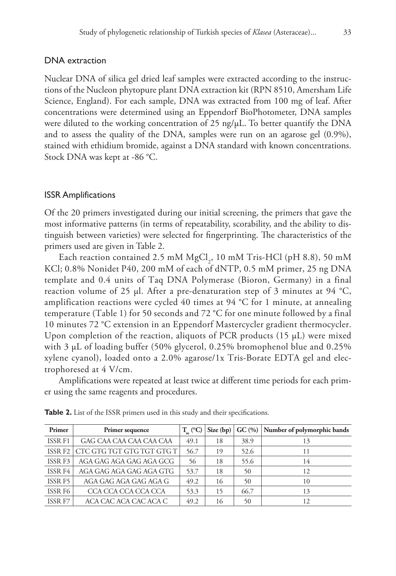## DNA extraction

Nuclear DNA of silica gel dried leaf samples were extracted according to the instructions of the Nucleon phytopure plant DNA extraction kit (RPN 8510, Amersham Life Science, England). For each sample, DNA was extracted from 100 mg of leaf. After concentrations were determined using an Eppendorf BioPhotometer, DNA samples were diluted to the working concentration of 25 ng/ $\mu$ L. To better quantify the DNA and to assess the quality of the DNA, samples were run on an agarose gel (0.9%), stained with ethidium bromide, against a DNA standard with known concentrations. Stock DNA was kept at -86 °C.

# ISSR Amplifications

Of the 20 primers investigated during our initial screening, the primers that gave the most informative patterns (in terms of repeatability, scorability, and the ability to distinguish between varieties) were selected for fingerprinting. The characteristics of the primers used are given in Table 2.

Each reaction contained 2.5 mM  ${MgCl}_2$ , 10 mM Tris-HCl (pH 8.8), 50 mM KCl; 0.8% Nonidet P40, 200 mM of each of dNTP, 0.5 mM primer, 25 ng DNA template and 0.4 units of Taq DNA Polymerase (Bioron, Germany) in a final reaction volume of 25 µl. After a pre-denaturation step of 3 minutes at 94 °C, amplification reactions were cycled 40 times at 94 °C for 1 minute, at annealing temperature (Table 1) for 50 seconds and 72 °C for one minute followed by a final 10 minutes 72 °C extension in an Eppendorf Mastercycler gradient thermocycler. Upon completion of the reaction, aliquots of PCR products (15 µL) were mixed with 3  $\mu$ L of loading buffer (50% glycerol, 0.25% bromophenol blue and 0.25% xylene cyanol), loaded onto a 2.0% agarose/1x Tris-Borate EDTA gel and electrophoresed at 4 V/cm.

Amplifications were repeated at least twice at different time periods for each primer using the same reagents and procedures.

| Primer         | Primer sequence           | $T$ (°C) |    |      | Size $(bp)$ GC $(\%)$ Number of polymorphic bands |
|----------------|---------------------------|----------|----|------|---------------------------------------------------|
| <b>ISSR F1</b> | GAG CAA CAA CAA CAA CAA   | 49.1     | 18 | 38.9 | 13                                                |
| ISSR F2        | CTC GTG TGT GTG TGT GTG T | 56.7     | 19 | 52.6 | 11                                                |
| ISSR F3        | AGA GAG AGA GAG AGA GCG   | 56       | 18 | 55.6 | 14                                                |
| ISSR F4        | AGA GAG AGA GAG AGA GTG   | 53.7     | 18 | 50   | 12                                                |
| ISSR F5        | AGA GAG AGA GAG AGA G     | 49.2     | 16 | 50   | 10                                                |
| ISSR F6        | CCA CCA CCA CCA CCA       | 53.3     | 15 | 66.7 | 13                                                |
| ISSR F7        | ACA CAC ACA CAC ACA C     | 49.2     | 16 | 50   | 12                                                |

**Table 2.** List of the ISSR primers used in this study and their specifications.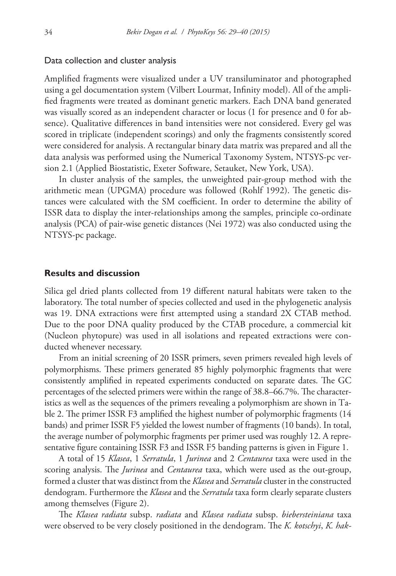#### Data collection and cluster analysis

Amplified fragments were visualized under a UV transiluminator and photographed using a gel documentation system (Vilbert Lourmat, Infinity model). All of the amplified fragments were treated as dominant genetic markers. Each DNA band generated was visually scored as an independent character or locus (1 for presence and 0 for absence). Qualitative differences in band intensities were not considered. Every gel was scored in triplicate (independent scorings) and only the fragments consistently scored were considered for analysis. A rectangular binary data matrix was prepared and all the data analysis was performed using the Numerical Taxonomy System, NTSYS-pc version 2.1 (Applied Biostatistic, Exeter Software, Setauket, New York, USA).

In cluster analysis of the samples, the unweighted pair-group method with the arithmetic mean (UPGMA) procedure was followed (Rohlf 1992). The genetic distances were calculated with the SM coefficient. In order to determine the ability of ISSR data to display the inter-relationships among the samples, principle co-ordinate analysis (PCA) of pair-wise genetic distances (Nei 1972) was also conducted using the NTSYS-pc package.

#### **Results and discussion**

Silica gel dried plants collected from 19 different natural habitats were taken to the laboratory. The total number of species collected and used in the phylogenetic analysis was 19. DNA extractions were first attempted using a standard 2X CTAB method. Due to the poor DNA quality produced by the CTAB procedure, a commercial kit (Nucleon phytopure) was used in all isolations and repeated extractions were conducted whenever necessary.

From an initial screening of 20 ISSR primers, seven primers revealed high levels of polymorphisms. These primers generated 85 highly polymorphic fragments that were consistently amplified in repeated experiments conducted on separate dates. The GC percentages of the selected primers were within the range of 38.8–66.7%. The characteristics as well as the sequences of the primers revealing a polymorphism are shown in Table 2. The primer ISSR F3 amplified the highest number of polymorphic fragments (14 bands) and primer ISSR F5 yielded the lowest number of fragments (10 bands). In total, the average number of polymorphic fragments per primer used was roughly 12. A representative figure containing ISSR F3 and ISSR F5 banding patterns is given in Figure 1.

A total of 15 *Klasea*, 1 *Serratula*, 1 *Jurinea* and 2 *Centaurea* taxa were used in the scoring analysis. The *Jurinea* and *Centaurea* taxa, which were used as the out-group, formed a cluster that was distinct from the *Klasea* and *Serratula* cluster in the constructed dendogram. Furthermore the *Klasea* and the *Serratula* taxa form clearly separate clusters among themselves (Figure 2).

The *Klasea radiata* subsp. *radiata* and *Klasea radiata* subsp. *biebersteiniana* taxa were observed to be very closely positioned in the dendogram. The *K. kotschyi*, *K. hak-*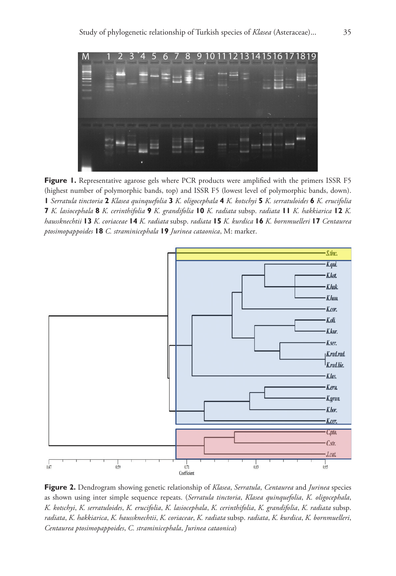

**Figure 1.** Representative agarose gels where PCR products were amplified with the primers ISSR F5 (highest number of polymorphic bands, top) and ISSR F5 (lowest level of polymorphic bands, down). **1** *Serratula tinctoria* **2** *Klasea quinquefolia* **3** *K. oligocephala* **4** *K. kotschyi* **5** *K. serratuloides* **6** *K. erucifolia* **7** *K. lasiocephala* **8** *K. cerinthifolia* **9** *K. grandifolia* **10** *K. radiata* subsp. *radiata* **11** *K. hakkiarica* **12** *K. haussknechtii* **13** *K. coriaceae* **14** *K. radiata* subsp. *radiata* **15** *K. kurdica* **16** *K. bornmuelleri* **17** *Centaurea ptosimopappoides* **18** *C. straminicephala* **19** *Jurinea cataonica*, M: marker.



**Figure 2.** Dendrogram showing genetic relationship of *Klasea*, *Serratula*, *Centaurea* and *Jurinea* species as shown using inter simple sequence repeats. (*Serratula tinctoria*, *Klasea quinquefolia*, *K. oligocephala*, *K. kotschyi*, *K. serratuloides*, *K. erucifolia*, *K. lasiocephala*, *K. cerinthifolia*, *K. grandifolia*, *K. radiata* subsp. *radiata*, *K. hakkiarica*, *K. haussknechtii*, *K. coriaceae*, *K. radiata* subsp. *radiata*, *K. kurdica*, *K. bornmuelleri*, *Centaurea ptosimopappoides*, *C. straminicephala*, *Jurinea cataonica*)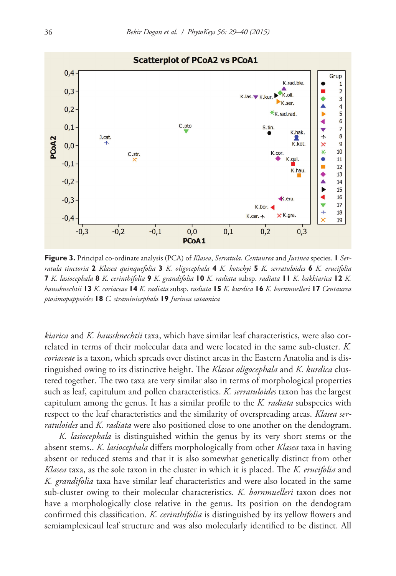

**Figure 3.** Principal co-ordinate analysis (PCA) of *Klasea*, *Serratula*, *Centaurea* and *Jurinea* species. **1** *Serratula tinctoria* **2** *Klasea quinquefolia* **3** *K. oligocephala* **4** *K. kotschyi* **5** *K. serratuloides* **6** *K. erucifolia* **7** *K. lasiocephala* **8** *K. cerinthifolia* **9** *K. grandifolia* **10** *K. radiata* subsp. *radiata* **11** *K. hakkiarica* **12** *K. haussknechtii* **13** *K. coriaceae* **14** *K. radiata* subsp. *radiata* **15** *K. kurdica* **16** *K. bornmuelleri* **17** *Centaurea ptosimopappoides* **18** *C. straminicephala* **19** *Jurinea cataonica*

*kiarica* and *K. haussknechtii* taxa, which have similar leaf characteristics, were also correlated in terms of their molecular data and were located in the same sub-cluster. *K. coriaceae* is a taxon, which spreads over distinct areas in the Eastern Anatolia and is distinguished owing to its distinctive height. The *Klasea oligocephala* and *K. kurdica* clustered together. The two taxa are very similar also in terms of morphological properties such as leaf, capitulum and pollen characteristics. *K. serratuloides* taxon has the largest capitulum among the genus. It has a similar profile to the *K. radiata* subspecies with respect to the leaf characteristics and the similarity of overspreading areas. *Klasea serratuloides* and *K. radiata* were also positioned close to one another on the dendogram.

*K. lasiocephala* is distinguished within the genus by its very short stems or the absent stems.. *K. lasiocephala* differs morphologically from other *Klasea* taxa in having absent or reduced stems and that it is also somewhat genetically distinct from other *Klasea* taxa, as the sole taxon in the cluster in which it is placed. The *K. erucifolia* and *K. grandifolia* taxa have similar leaf characteristics and were also located in the same sub-cluster owing to their molecular characteristics. *K. bornmuelleri* taxon does not have a morphologically close relative in the genus. Its position on the dendogram confirmed this classification. *K. cerinthifolia* is distinguished by its yellow flowers and semiamplexicaul leaf structure and was also molecularly identified to be distinct. All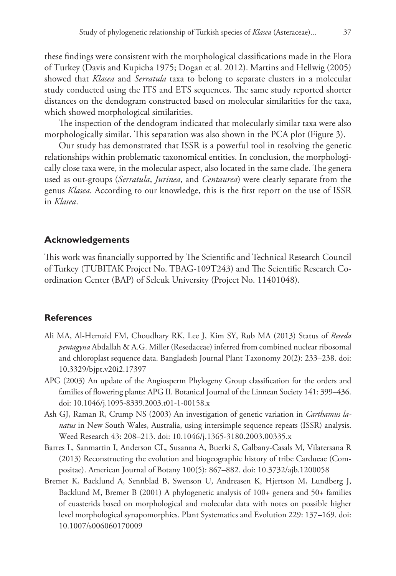these findings were consistent with the morphological classifications made in the Flora of Turkey (Davis and Kupicha 1975; Dogan et al. 2012). Martins and Hellwig (2005) showed that *Klasea* and *Serratula* taxa to belong to separate clusters in a molecular study conducted using the ITS and ETS sequences. The same study reported shorter distances on the dendogram constructed based on molecular similarities for the taxa, which showed morphological similarities.

The inspection of the dendogram indicated that molecularly similar taxa were also morphologically similar. This separation was also shown in the PCA plot (Figure 3).

Our study has demonstrated that ISSR is a powerful tool in resolving the genetic relationships within problematic taxonomical entities. In conclusion, the morphologically close taxa were, in the molecular aspect, also located in the same clade. The genera used as out-groups (*Serratula*, *Jurinea*, and *Centaurea*) were clearly separate from the genus *Klasea*. According to our knowledge, this is the first report on the use of ISSR in *Klasea*.

# **Acknowledgements**

This work was financially supported by The Scientific and Technical Research Council of Turkey (TUBITAK Project No. TBAG-109T243) and The Scientific Research Coordination Center (BAP) of Selcuk University (Project No. 11401048).

## **References**

- Ali MA, Al-Hemaid FM, Choudhary RK, Lee J, Kim SY, Rub MA (2013) Status of *Reseda pentagyna* Abdallah & A.G. Miller (Resedaceae) inferred from combined nuclear ribosomal and chloroplast sequence data. Bangladesh Journal Plant Taxonomy 20(2): 233–238. [doi:](http://dx.doi.org/10.3329/bjpt.v20i2.17397) [10.3329/bjpt.v20i2.17397](http://dx.doi.org/10.3329/bjpt.v20i2.17397)
- APG (2003) An update of the Angiosperm Phylogeny Group classification for the orders and families of flowering plants: APG II. Botanical Journal of the Linnean Society 141: 399–436. [doi: 10.1046/j.1095-8339.2003.t01-1-00158.x](http://dx.doi.org/10.1046/j.1095-8339.2003.t01-1-00158.x)
- Ash GJ, Raman R, Crump NS (2003) An investigation of genetic variation in *Carthamus lanatus* in New South Wales, Australia, using intersimple sequence repeats (ISSR) analysis. Weed Research 43: 208–213. [doi: 10.1046/j.1365-3180.2003.00335.x](http://dx.doi.org/10.1046/j.1365-3180.2003.00335.x)
- Barres L, Sanmartin I, Anderson CL, Susanna A, Buerki S, Galbany-Casals M, Vilatersana R (2013) Reconstructing the evolution and biogeographic history of tribe Cardueae (Compositae). American Journal of Botany 100(5): 867–882. [doi: 10.3732/ajb.1200058](http://dx.doi.org/10.3732/ajb.1200058)
- Bremer K, Backlund A, Sennblad B, Swenson U, Andreasen K, Hjertson M, Lundberg J, Backlund M, Bremer B (2001) A phylogenetic analysis of 100+ genera and 50+ families of euasterids based on morphological and molecular data with notes on possible higher level morphological synapomorphies. Plant Systematics and Evolution 229: 137–169. [doi:](http://dx.doi.org/10.1007/s006060170009) [10.1007/s006060170009](http://dx.doi.org/10.1007/s006060170009)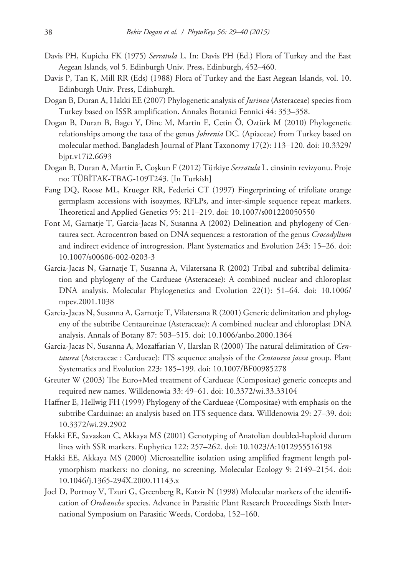- Davis PH, Kupicha FK (1975) *Serratula* L. In: Davis PH (Ed.) Flora of Turkey and the East Aegean Islands, vol 5. Edinburgh Univ. Press, Edinburgh, 452–460.
- Davis P, Tan K, Mill RR (Eds) (1988) Flora of Turkey and the East Aegean Islands, vol. 10. Edinburgh Univ. Press, Edinburgh.
- Dogan B, Duran A, Hakki EE (2007) Phylogenetic analysis of *Jurinea* (Asteraceae) species from Turkey based on ISSR amplification. Annales Botanici Fennici 44: 353–358.
- Dogan B, Duran B, Bagcı Y, Dinc M, Martin E, Cetin Ö, Oztürk M (2010) Phylogenetic relationships among the taxa of the genus *Johrenia* DC. (Apiaceae) from Turkey based on molecular method. Bangladesh Journal of Plant Taxonomy 17(2): 113–120. [doi: 10.3329/](http://dx.doi.org/10.3329/bjpt.v17i2.6693) [bjpt.v17i2.6693](http://dx.doi.org/10.3329/bjpt.v17i2.6693)
- Dogan B, Duran A, Martin E, Coşkun F (2012) Türkiye *Serratula* L. cinsinin revizyonu. Proje no: TÜBİTAK-TBAG-109T243. [In Turkish]
- Fang DQ, Roose ML, Krueger RR, Federici CT (1997) Fingerprinting of trifoliate orange germplasm accessions with isozymes, RFLPs, and inter-simple sequence repeat markers. Theoretical and Applied Genetics 95: 211–219. [doi: 10.1007/s001220050550](http://dx.doi.org/10.1007/s001220050550)
- Font M, Garnatje T, Garcia-Jacas N, Susanna A (2002) Delineation and phylogeny of Centaurea sect. Acrocentron based on DNA sequences: a restoration of the genus *Crocodylium* and indirect evidence of introgression. Plant Systematics and Evolution 243: 15–26. [doi:](http://dx.doi.org/10.1007/s00606-002-0203-3) [10.1007/s00606-002-0203-3](http://dx.doi.org/10.1007/s00606-002-0203-3)
- Garcia-Jacas N, Garnatje T, Susanna A, Vilatersana R (2002) Tribal and subtribal delimitation and phylogeny of the Cardueae (Asteraceae): A combined nuclear and chloroplast DNA analysis. Molecular Phylogenetics and Evolution 22(1): 51–64. [doi: 10.1006/](http://dx.doi.org/10.1006/mpev.2001.1038) [mpev.2001.1038](http://dx.doi.org/10.1006/mpev.2001.1038)
- Garcia-Jacas N, Susanna A, Garnatje T, Vilatersana R (2001) Generic delimitation and phylogeny of the subtribe Centaureinae (Asteraceae): A combined nuclear and chloroplast DNA analysis. Annals of Botany 87: 503–515. [doi: 10.1006/anbo.2000.1364](http://dx.doi.org/10.1006/anbo.2000.1364)
- Garcia-Jacas N, Susanna A, Mozaffarian V, Ilarslan R (2000) The natural delimitation of *Centaurea* (Asteraceae : Cardueae): ITS sequence analysis of the *Centaurea jacea* group. Plant Systematics and Evolution 223: 185–199. [doi: 10.1007/BF00985278](http://dx.doi.org/10.1007/BF00985278)
- Greuter W (2003) The Euro+Med treatment of Cardueae (Compositae) generic concepts and required new names. Willdenowia 33: 49–61. [doi: 10.3372/wi.33.33104](http://dx.doi.org/10.3372/wi.33.33104)
- Haffner E, Hellwig FH (1999) Phylogeny of the Cardueae (Compositae) with emphasis on the subtribe Carduinae: an analysis based on ITS sequence data. Willdenowia 29: 27–39. [doi:](http://dx.doi.org/10.3372/wi.29.2902) [10.3372/wi.29.2902](http://dx.doi.org/10.3372/wi.29.2902)
- Hakki EE, Savaskan C, Akkaya MS (2001) Genotyping of Anatolian doubled-haploid durum lines with SSR markers. Euphytica 122: 257–262. [doi: 10.1023/A:1012955516198](http://dx.doi.org/10.1023/A:1012955516198)
- Hakki EE, Akkaya MS (2000) Microsatellite isolation using amplified fragment length polymorphism markers: no cloning, no screening. Molecular Ecology 9: 2149–2154. [doi:](http://dx.doi.org/10.1046/j.1365-294X.2000.11143.x) [10.1046/j.1365-294X.2000.11143.x](http://dx.doi.org/10.1046/j.1365-294X.2000.11143.x)
- Joel D, Portnoy V, Tzuri G, Greenberg R, Katzir N (1998) Molecular markers of the identification of *Orobanche* species. Advance in Parasitic Plant Research Proceedings Sixth International Symposium on Parasitic Weeds, Cordoba, 152–160.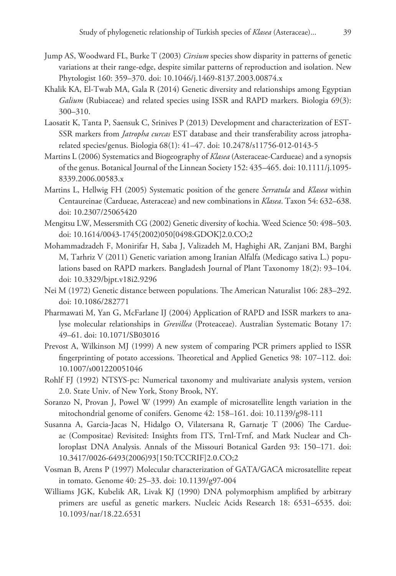- Jump AS, Woodward FL, Burke T (2003) *Cirsium* species show disparity in patterns of genetic variations at their range-edge, despite similar patterns of reproduction and isolation. New Phytologist 160: 359–370. [doi: 10.1046/j.1469-8137.2003.00874.x](http://dx.doi.org/10.1046/j.1469-8137.2003.00874.x)
- Khalik KA, El-Twab MA, Gala R (2014) Genetic diversity and relationships among Egyptian *Galium* (Rubiaceae) and related species using ISSR and RAPD markers. Biologia 69(3): 300–310.
- Laosatit K, Tanta P, Saensuk C, Srinives P (2013) Development and characterization of EST-SSR markers from *Jatropha curcas* EST database and their transferability across jatropharelated species/genus. Biologia 68(1): 41–47. [doi: 10.2478/s11756-012-0143-5](http://dx.doi.org/10.2478/s11756-012-0143-5)
- Martins L (2006) Systematics and Biogeography of *Klasea* (Asteraceae-Cardueae) and a synopsis of the genus. Botanical Journal of the Linnean Society 152: 435–465. [doi: 10.1111/j.1095-](http://dx.doi.org/10.1111/j.1095-8339.2006.00583.x) [8339.2006.00583.x](http://dx.doi.org/10.1111/j.1095-8339.2006.00583.x)
- Martins L, Hellwig FH (2005) Systematic position of the genere *Serratula* and *Klasea* within Centaureinae (Cardueae, Asteraceae) and new combinations in *Klasea*. Taxon 54: 632–638. [doi: 10.2307/25065420](http://dx.doi.org/10.2307/25065420)
- Mengitsu LW, Messersmith CG (2002) Genetic diversity of kochia. Weed Science 50: 498–503. [doi: 10.1614/0043-1745\(2002\)050\[0498:GDOK\]2.0.CO;2](http://dx.doi.org/10.1614/0043-1745(2002)050%5B0498:GDOK%5D2.0.CO;2)
- Mohammadzadeh F, Monirifar H, Saba J, Valizadeh M, Haghighi AR, Zanjani BM, Barghi M, Tarhriz V (2011) Genetic variation among Iranian Alfalfa (Medicago sativa L.) populations based on RAPD markers. Bangladesh Journal of Plant Taxonomy 18(2): 93–104. [doi: 10.3329/bjpt.v18i2.9296](http://dx.doi.org/10.3329/bjpt.v18i2.9296)
- Nei M (1972) Genetic distance between populations. The American Naturalist 106: 283–292. [doi: 10.1086/282771](http://dx.doi.org/10.1086/282771)
- Pharmawati M, Yan G, McFarlane IJ (2004) Application of RAPD and ISSR markers to analyse molecular relationships in *Grevillea* (Proteaceae). Australian Systematic Botany 17: 49–61. [doi: 10.1071/SB03016](http://dx.doi.org/10.1071/SB03016)
- Prevost A, Wilkinson MJ (1999) A new system of comparing PCR primers applied to ISSR fingerprinting of potato accessions. Theoretical and Applied Genetics 98: 107–112. [doi:](http://dx.doi.org/10.1007/s001220051046) [10.1007/s001220051046](http://dx.doi.org/10.1007/s001220051046)
- Rohlf FJ (1992) NTSYS-pc: Numerical taxonomy and multivariate analysis system, version 2.0. State Univ. of New York, Stony Brook, NY.
- Soranzo N, Provan J, Powel W (1999) An example of microsatellite length variation in the mitochondrial genome of conifers. Genome 42: 158–161. [doi: 10.1139/g98-111](http://dx.doi.org/10.1139/g98-111)
- Susanna A, Garcia-Jacas N, Hidalgo O, Vilatersana R, Garnatje T (2006) The Cardueae (Compositae) Revisited: Insights from ITS, Trnl-Trnf, and Matk Nuclear and Chloroplast DNA Analysis. Annals of the Missouri Botanical Garden 93: 150–171. [doi:](http://dx.doi.org/10.3417/0026-6493(2006)93%5B150:TCCRIF%5D2.0.CO;2) [10.3417/0026-6493\(2006\)93\[150:TCCRIF\]2.0.CO;2](http://dx.doi.org/10.3417/0026-6493(2006)93%5B150:TCCRIF%5D2.0.CO;2)
- Vosman B, Arens P (1997) Molecular characterization of GATA/GACA microsatellite repeat in tomato. Genome 40: 25–33. [doi: 10.1139/g97-004](http://dx.doi.org/10.1139/g97-004)
- Williams JGK, Kubelik AR, Livak KJ (1990) DNA polymorphism amplified by arbitrary primers are useful as genetic markers. Nucleic Acids Research 18: 6531–6535. [doi:](http://dx.doi.org/10.1093/nar/18.22.6531) [10.1093/nar/18.22.6531](http://dx.doi.org/10.1093/nar/18.22.6531)